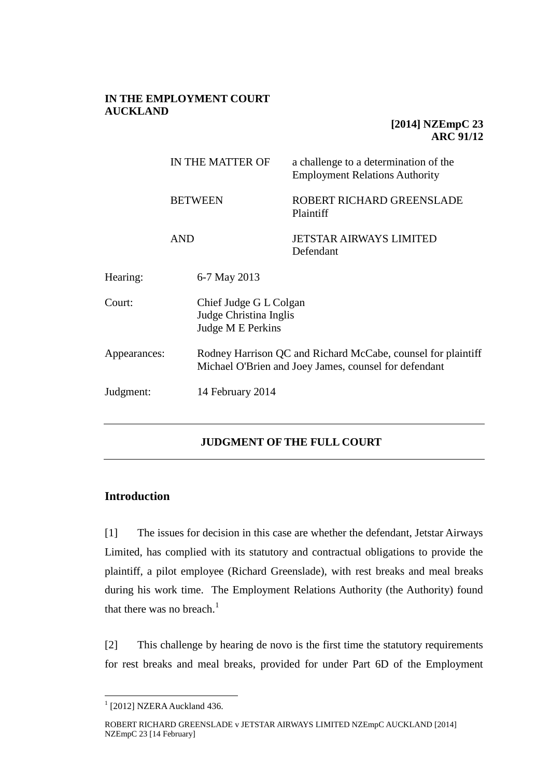# **IN THE EMPLOYMENT COURT AUCKLAND**

# **[2014] NZEmpC 23 ARC 91/12**

|              |                              | IN THE MATTER OF                                                                                                      | a challenge to a determination of the<br><b>Employment Relations Authority</b> |
|--------------|------------------------------|-----------------------------------------------------------------------------------------------------------------------|--------------------------------------------------------------------------------|
|              | <b>BETWEEN</b><br><b>AND</b> |                                                                                                                       | ROBERT RICHARD GREENSLADE<br>Plaintiff                                         |
|              |                              |                                                                                                                       | <b>JETSTAR AIRWAYS LIMITED</b><br>Defendant                                    |
| Hearing:     |                              | 6-7 May 2013                                                                                                          |                                                                                |
| Court:       |                              | Chief Judge G L Colgan<br>Judge Christina Inglis<br>Judge M E Perkins                                                 |                                                                                |
| Appearances: |                              | Rodney Harrison QC and Richard McCabe, counsel for plaintiff<br>Michael O'Brien and Joey James, counsel for defendant |                                                                                |
| Judgment:    |                              | 14 February 2014                                                                                                      |                                                                                |

# **JUDGMENT OF THE FULL COURT**

# **Introduction**

[1] The issues for decision in this case are whether the defendant, Jetstar Airways Limited, has complied with its statutory and contractual obligations to provide the plaintiff, a pilot employee (Richard Greenslade), with rest breaks and meal breaks during his work time. The Employment Relations Authority (the Authority) found that there was no breach. $<sup>1</sup>$ </sup>

[2] This challenge by hearing de novo is the first time the statutory requirements for rest breaks and meal breaks, provided for under Part 6D of the Employment

 $1$  [2012] NZERA Auckland 436.

ROBERT RICHARD GREENSLADE v JETSTAR AIRWAYS LIMITED NZEmpC AUCKLAND [2014] NZEmpC 23 [14 February]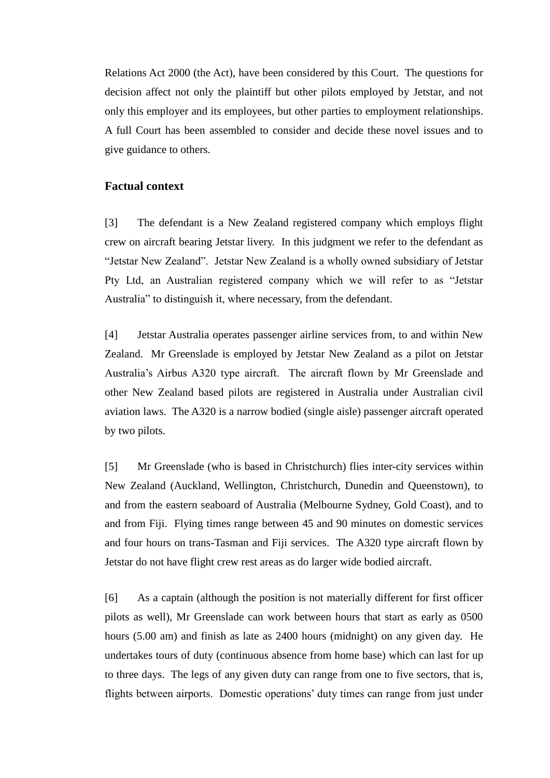Relations Act 2000 (the Act), have been considered by this Court. The questions for decision affect not only the plaintiff but other pilots employed by Jetstar, and not only this employer and its employees, but other parties to employment relationships. A full Court has been assembled to consider and decide these novel issues and to give guidance to others.

### **Factual context**

[3] The defendant is a New Zealand registered company which employs flight crew on aircraft bearing Jetstar livery. In this judgment we refer to the defendant as "Jetstar New Zealand". Jetstar New Zealand is a wholly owned subsidiary of Jetstar Pty Ltd, an Australian registered company which we will refer to as "Jetstar Australia" to distinguish it, where necessary, from the defendant.

[4] Jetstar Australia operates passenger airline services from, to and within New Zealand. Mr Greenslade is employed by Jetstar New Zealand as a pilot on Jetstar Australia's Airbus A320 type aircraft. The aircraft flown by Mr Greenslade and other New Zealand based pilots are registered in Australia under Australian civil aviation laws. The A320 is a narrow bodied (single aisle) passenger aircraft operated by two pilots.

[5] Mr Greenslade (who is based in Christchurch) flies inter-city services within New Zealand (Auckland, Wellington, Christchurch, Dunedin and Queenstown), to and from the eastern seaboard of Australia (Melbourne Sydney, Gold Coast), and to and from Fiji. Flying times range between 45 and 90 minutes on domestic services and four hours on trans-Tasman and Fiji services. The A320 type aircraft flown by Jetstar do not have flight crew rest areas as do larger wide bodied aircraft.

[6] As a captain (although the position is not materially different for first officer pilots as well), Mr Greenslade can work between hours that start as early as 0500 hours (5.00 am) and finish as late as 2400 hours (midnight) on any given day. He undertakes tours of duty (continuous absence from home base) which can last for up to three days. The legs of any given duty can range from one to five sectors, that is, flights between airports. Domestic operations' duty times can range from just under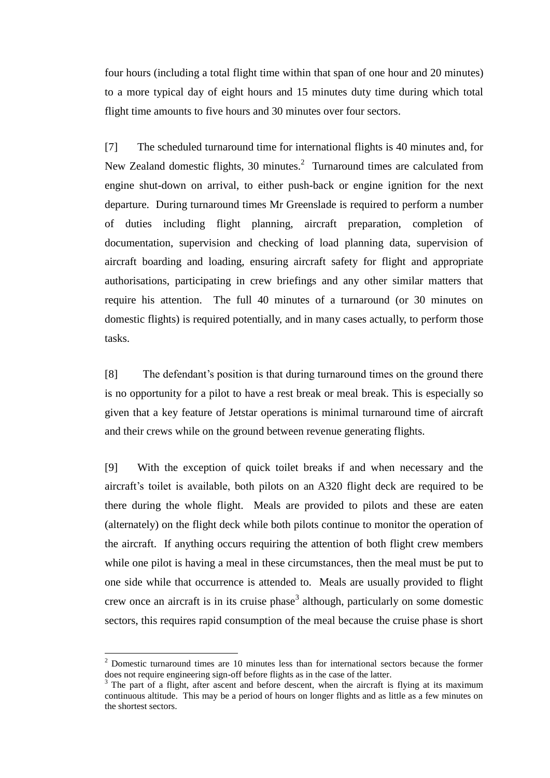four hours (including a total flight time within that span of one hour and 20 minutes) to a more typical day of eight hours and 15 minutes duty time during which total flight time amounts to five hours and 30 minutes over four sectors.

[7] The scheduled turnaround time for international flights is 40 minutes and, for New Zealand domestic flights, 30 minutes. $^2$  Turnaround times are calculated from engine shut-down on arrival, to either push-back or engine ignition for the next departure. During turnaround times Mr Greenslade is required to perform a number of duties including flight planning, aircraft preparation, completion of documentation, supervision and checking of load planning data, supervision of aircraft boarding and loading, ensuring aircraft safety for flight and appropriate authorisations, participating in crew briefings and any other similar matters that require his attention. The full 40 minutes of a turnaround (or 30 minutes on domestic flights) is required potentially, and in many cases actually, to perform those tasks.

[8] The defendant's position is that during turnaround times on the ground there is no opportunity for a pilot to have a rest break or meal break. This is especially so given that a key feature of Jetstar operations is minimal turnaround time of aircraft and their crews while on the ground between revenue generating flights.

[9] With the exception of quick toilet breaks if and when necessary and the aircraft's toilet is available, both pilots on an A320 flight deck are required to be there during the whole flight. Meals are provided to pilots and these are eaten (alternately) on the flight deck while both pilots continue to monitor the operation of the aircraft. If anything occurs requiring the attention of both flight crew members while one pilot is having a meal in these circumstances, then the meal must be put to one side while that occurrence is attended to. Meals are usually provided to flight crew once an aircraft is in its cruise phase<sup>3</sup> although, particularly on some domestic sectors, this requires rapid consumption of the meal because the cruise phase is short

 $2$  Domestic turnaround times are 10 minutes less than for international sectors because the former does not require engineering sign-off before flights as in the case of the latter.

The part of a flight, after ascent and before descent, when the aircraft is flying at its maximum continuous altitude. This may be a period of hours on longer flights and as little as a few minutes on the shortest sectors.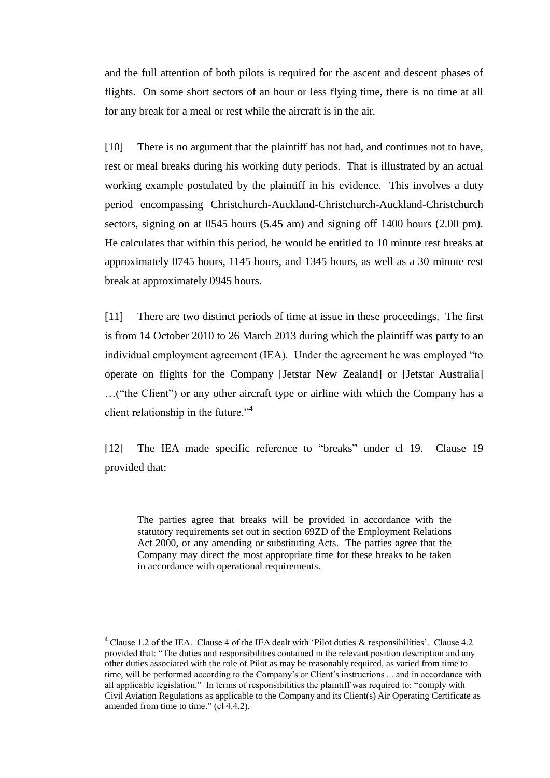and the full attention of both pilots is required for the ascent and descent phases of flights. On some short sectors of an hour or less flying time, there is no time at all for any break for a meal or rest while the aircraft is in the air.

[10] There is no argument that the plaintiff has not had, and continues not to have, rest or meal breaks during his working duty periods. That is illustrated by an actual working example postulated by the plaintiff in his evidence. This involves a duty period encompassing Christchurch-Auckland-Christchurch-Auckland-Christchurch sectors, signing on at 0545 hours (5.45 am) and signing off 1400 hours (2.00 pm). He calculates that within this period, he would be entitled to 10 minute rest breaks at approximately 0745 hours, 1145 hours, and 1345 hours, as well as a 30 minute rest break at approximately 0945 hours.

[11] There are two distinct periods of time at issue in these proceedings. The first is from 14 October 2010 to 26 March 2013 during which the plaintiff was party to an individual employment agreement (IEA). Under the agreement he was employed "to operate on flights for the Company [Jetstar New Zealand] or [Jetstar Australia] …("the Client") or any other aircraft type or airline with which the Company has a client relationship in the future."<sup>4</sup>

[12] The IEA made specific reference to "breaks" under cl 19. Clause 19 provided that:

The parties agree that breaks will be provided in accordance with the statutory requirements set out in section 69ZD of the Employment Relations Act 2000, or any amending or substituting Acts. The parties agree that the Company may direct the most appropriate time for these breaks to be taken in accordance with operational requirements.

<sup>&</sup>lt;sup>4</sup> Clause 1.2 of the IEA. Clause 4 of the IEA dealt with 'Pilot duties & responsibilities'. Clause 4.2 provided that: "The duties and responsibilities contained in the relevant position description and any other duties associated with the role of Pilot as may be reasonably required, as varied from time to time, will be performed according to the Company's or Client's instructions ... and in accordance with all applicable legislation." In terms of responsibilities the plaintiff was required to: "comply with Civil Aviation Regulations as applicable to the Company and its Client(s) Air Operating Certificate as amended from time to time." (cl 4.4.2).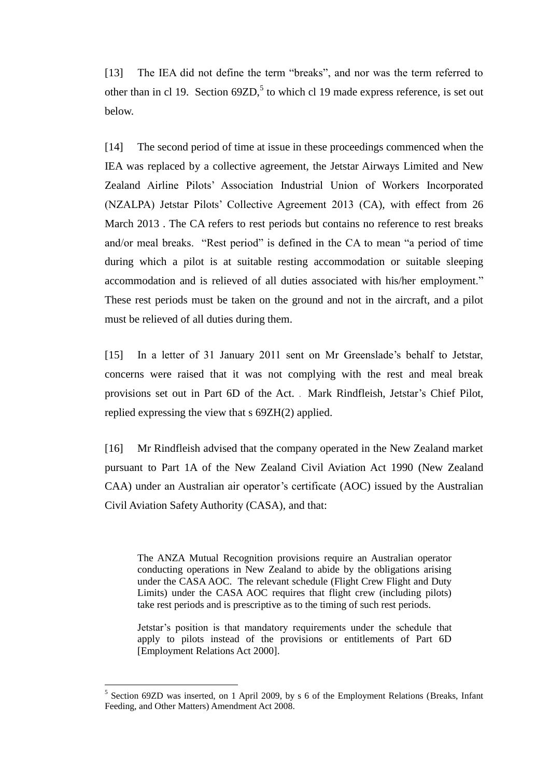[13] The IEA did not define the term "breaks", and nor was the term referred to other than in cl 19. Section  $69ZD$ ,<sup>5</sup> to which cl 19 made express reference, is set out below.

[14] The second period of time at issue in these proceedings commenced when the IEA was replaced by a collective agreement, the Jetstar Airways Limited and New Zealand Airline Pilots' Association Industrial Union of Workers Incorporated (NZALPA) Jetstar Pilots' Collective Agreement 2013 (CA), with effect from 26 March 2013 . The CA refers to rest periods but contains no reference to rest breaks and/or meal breaks. "Rest period" is defined in the CA to mean "a period of time during which a pilot is at suitable resting accommodation or suitable sleeping accommodation and is relieved of all duties associated with his/her employment." These rest periods must be taken on the ground and not in the aircraft, and a pilot must be relieved of all duties during them.

[15] In a letter of 31 January 2011 sent on Mr Greenslade's behalf to Jetstar, concerns were raised that it was not complying with the rest and meal break provisions set out in Part 6D of the Act. . Mark Rindfleish, Jetstar's Chief Pilot, replied expressing the view that s 69ZH(2) applied.

[16] Mr Rindfleish advised that the company operated in the New Zealand market pursuant to Part 1A of the New Zealand Civil Aviation Act 1990 (New Zealand CAA) under an Australian air operator's certificate (AOC) issued by the Australian Civil Aviation Safety Authority (CASA), and that:

The ANZA Mutual Recognition provisions require an Australian operator conducting operations in New Zealand to abide by the obligations arising under the CASA AOC. The relevant schedule (Flight Crew Flight and Duty Limits) under the CASA AOC requires that flight crew (including pilots) take rest periods and is prescriptive as to the timing of such rest periods.

Jetstar's position is that mandatory requirements under the schedule that apply to pilots instead of the provisions or entitlements of Part 6D [Employment Relations Act 2000].

<sup>&</sup>lt;sup>5</sup> Section 69ZD was inserted, on 1 April 2009, by s 6 of the Employment Relations (Breaks, Infant Feeding, and Other Matters) Amendment Act 2008.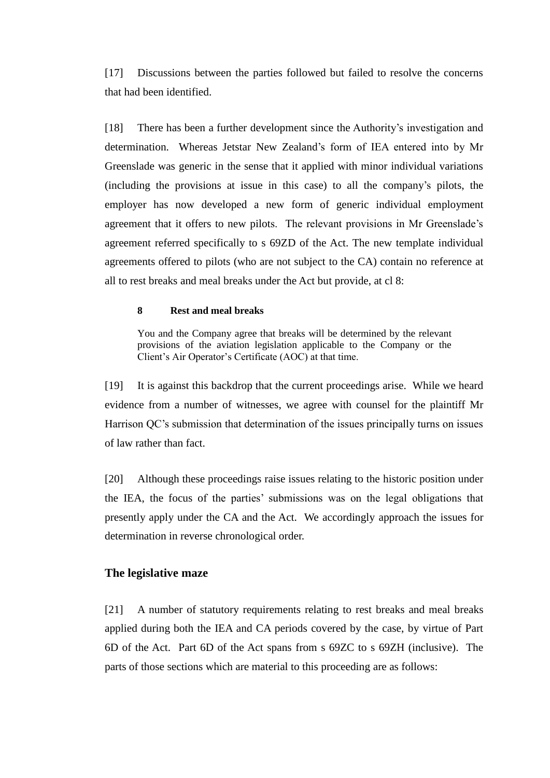[17] Discussions between the parties followed but failed to resolve the concerns that had been identified.

[18] There has been a further development since the Authority's investigation and determination. Whereas Jetstar New Zealand's form of IEA entered into by Mr Greenslade was generic in the sense that it applied with minor individual variations (including the provisions at issue in this case) to all the company's pilots, the employer has now developed a new form of generic individual employment agreement that it offers to new pilots. The relevant provisions in Mr Greenslade's agreement referred specifically to s 69ZD of the Act. The new template individual agreements offered to pilots (who are not subject to the CA) contain no reference at all to rest breaks and meal breaks under the Act but provide, at cl 8:

### **8 Rest and meal breaks**

You and the Company agree that breaks will be determined by the relevant provisions of the aviation legislation applicable to the Company or the Client's Air Operator's Certificate (AOC) at that time.

[19] It is against this backdrop that the current proceedings arise. While we heard evidence from a number of witnesses, we agree with counsel for the plaintiff Mr Harrison QC's submission that determination of the issues principally turns on issues of law rather than fact.

[20] Although these proceedings raise issues relating to the historic position under the IEA, the focus of the parties' submissions was on the legal obligations that presently apply under the CA and the Act. We accordingly approach the issues for determination in reverse chronological order.

# **The legislative maze**

[21] A number of statutory requirements relating to rest breaks and meal breaks applied during both the IEA and CA periods covered by the case, by virtue of Part 6D of the Act. Part 6D of the Act spans from s 69ZC to s 69ZH (inclusive). The parts of those sections which are material to this proceeding are as follows: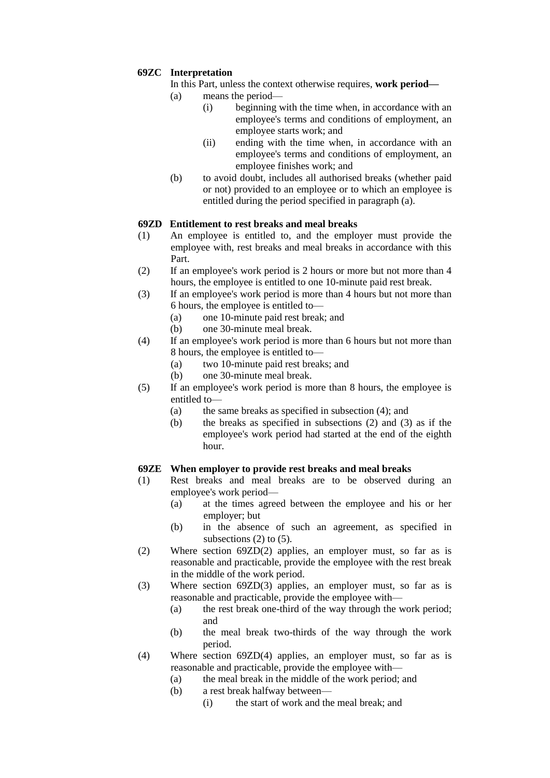### **69ZC Interpretation**

- In this Part, unless the context otherwise requires, **work period—**
- (a) means the period—
	- (i) beginning with the time when, in accordance with an employee's terms and conditions of employment, an employee starts work; and
	- (ii) ending with the time when, in accordance with an employee's terms and conditions of employment, an employee finishes work; and
- (b) to avoid doubt, includes all authorised breaks (whether paid or not) provided to an employee or to which an employee is entitled during the period specified in paragraph (a).

### **69ZD Entitlement to rest breaks and meal breaks**

- (1) An employee is entitled to, and the employer must provide the employee with, rest breaks and meal breaks in accordance with this Part.
- (2) If an employee's work period is 2 hours or more but not more than 4 hours, the employee is entitled to one 10-minute paid rest break.
- (3) If an employee's work period is more than 4 hours but not more than 6 hours, the employee is entitled to—
	- (a) one 10-minute paid rest break; and
	- (b) one 30-minute meal break.
- (4) If an employee's work period is more than 6 hours but not more than 8 hours, the employee is entitled to—
	- (a) two 10-minute paid rest breaks; and
	- (b) one 30-minute meal break.
- (5) If an employee's work period is more than 8 hours, the employee is entitled to—
	- (a) the same breaks as specified in subsection (4); and
	- (b) the breaks as specified in subsections (2) and (3) as if the employee's work period had started at the end of the eighth hour.

### **69ZE When employer to provide rest breaks and meal breaks**

- (1) Rest breaks and meal breaks are to be observed during an employee's work period—
	- (a) at the times agreed between the employee and his or her employer; but
	- (b) in the absence of such an agreement, as specified in subsections  $(2)$  to  $(5)$ .
- (2) Where section 69ZD(2) applies, an employer must, so far as is reasonable and practicable, provide the employee with the rest break in the middle of the work period.
- (3) Where section 69ZD(3) applies, an employer must, so far as is reasonable and practicable, provide the employee with—
	- (a) the rest break one-third of the way through the work period; and
	- (b) the meal break two-thirds of the way through the work period.
- (4) Where section 69ZD(4) applies, an employer must, so far as is reasonable and practicable, provide the employee with—
	- (a) the meal break in the middle of the work period; and
	- (b) a rest break halfway between—
		- (i) the start of work and the meal break; and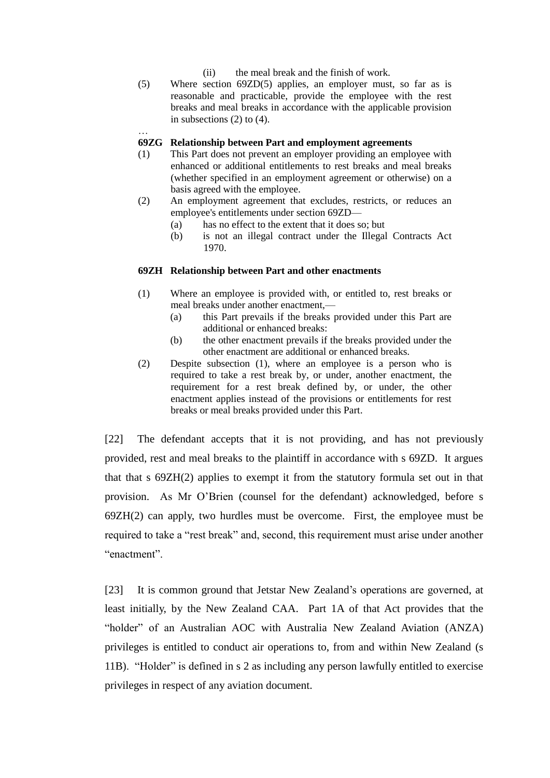- (ii) the meal break and the finish of work.
- (5) Where section 69ZD(5) applies, an employer must, so far as is reasonable and practicable, provide the employee with the rest breaks and meal breaks in accordance with the applicable provision in subsections (2) to (4).

#### **69ZG Relationship between Part and employment agreements**

…

- (1) This Part does not prevent an employer providing an employee with enhanced or additional entitlements to rest breaks and meal breaks (whether specified in an employment agreement or otherwise) on a basis agreed with the employee.
- (2) An employment agreement that excludes, restricts, or reduces an employee's entitlements under section 69ZD—
	- (a) has no effect to the extent that it does so; but
	- (b) is not an illegal contract under the Illegal Contracts Act 1970.

#### **69ZH Relationship between Part and other enactments**

- (1) Where an employee is provided with, or entitled to, rest breaks or meal breaks under another enactment,—
	- (a) this Part prevails if the breaks provided under this Part are additional or enhanced breaks:
	- (b) the other enactment prevails if the breaks provided under the other enactment are additional or enhanced breaks.
- (2) Despite subsection (1), where an employee is a person who is required to take a rest break by, or under, another enactment, the requirement for a rest break defined by, or under, the other enactment applies instead of the provisions or entitlements for rest breaks or meal breaks provided under this Part.

[22] The defendant accepts that it is not providing, and has not previously provided, rest and meal breaks to the plaintiff in accordance with s 69ZD. It argues that that s  $69ZH(2)$  applies to exempt it from the statutory formula set out in that provision. As Mr O'Brien (counsel for the defendant) acknowledged, before s 69ZH(2) can apply, two hurdles must be overcome. First, the employee must be required to take a "rest break" and, second, this requirement must arise under another "enactment".

[23] It is common ground that Jetstar New Zealand's operations are governed, at least initially, by the New Zealand CAA. Part 1A of that Act provides that the "holder" of an Australian AOC with Australia New Zealand Aviation (ANZA) privileges is entitled to conduct air operations to, from and within New Zealand (s 11B). "Holder" is defined in s 2 as including any person lawfully entitled to exercise privileges in respect of any aviation document.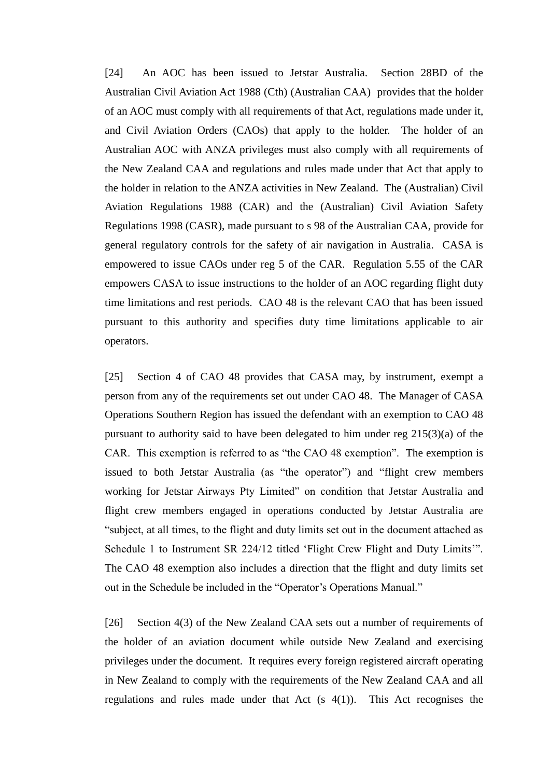[24] An AOC has been issued to Jetstar Australia. Section 28BD of the Australian Civil Aviation Act 1988 (Cth) (Australian CAA) provides that the holder of an AOC must comply with all requirements of that Act, regulations made under it, and Civil Aviation Orders (CAOs) that apply to the holder. The holder of an Australian AOC with ANZA privileges must also comply with all requirements of the New Zealand CAA and regulations and rules made under that Act that apply to the holder in relation to the ANZA activities in New Zealand. The (Australian) Civil Aviation Regulations 1988 (CAR) and the (Australian) Civil Aviation Safety Regulations 1998 (CASR), made pursuant to s 98 of the Australian CAA, provide for general regulatory controls for the safety of air navigation in Australia. CASA is empowered to issue CAOs under reg 5 of the CAR. Regulation 5.55 of the CAR empowers CASA to issue instructions to the holder of an AOC regarding flight duty time limitations and rest periods. CAO 48 is the relevant CAO that has been issued pursuant to this authority and specifies duty time limitations applicable to air operators.

[25] Section 4 of CAO 48 provides that CASA may, by instrument, exempt a person from any of the requirements set out under CAO 48. The Manager of CASA Operations Southern Region has issued the defendant with an exemption to CAO 48 pursuant to authority said to have been delegated to him under reg 215(3)(a) of the CAR. This exemption is referred to as "the CAO 48 exemption". The exemption is issued to both Jetstar Australia (as "the operator") and "flight crew members working for Jetstar Airways Pty Limited" on condition that Jetstar Australia and flight crew members engaged in operations conducted by Jetstar Australia are "subject, at all times, to the flight and duty limits set out in the document attached as Schedule 1 to Instrument SR 224/12 titled 'Flight Crew Flight and Duty Limits'". The CAO 48 exemption also includes a direction that the flight and duty limits set out in the Schedule be included in the "Operator's Operations Manual."

[26] Section 4(3) of the New Zealand CAA sets out a number of requirements of the holder of an aviation document while outside New Zealand and exercising privileges under the document. It requires every foreign registered aircraft operating in New Zealand to comply with the requirements of the New Zealand CAA and all regulations and rules made under that Act  $(s 4(1))$ . This Act recognises the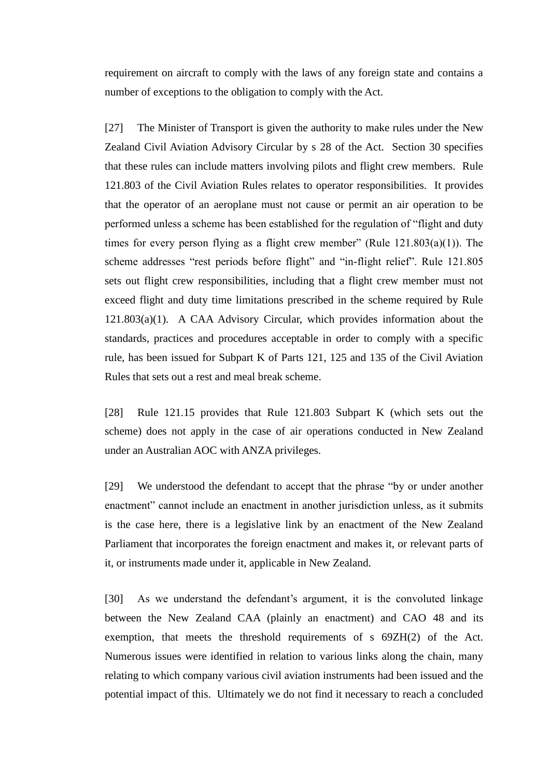requirement on aircraft to comply with the laws of any foreign state and contains a number of exceptions to the obligation to comply with the Act.

[27] The Minister of Transport is given the authority to make rules under the New Zealand Civil Aviation Advisory Circular by s 28 of the Act. Section 30 specifies that these rules can include matters involving pilots and flight crew members. Rule 121.803 of the Civil Aviation Rules relates to operator responsibilities. It provides that the operator of an aeroplane must not cause or permit an air operation to be performed unless a scheme has been established for the regulation of "flight and duty times for every person flying as a flight crew member" (Rule  $121.803(a)(1)$ ). The scheme addresses "rest periods before flight" and "in-flight relief". Rule 121.805 sets out flight crew responsibilities, including that a flight crew member must not exceed flight and duty time limitations prescribed in the scheme required by Rule 121.803(a)(1). A CAA Advisory Circular, which provides information about the standards, practices and procedures acceptable in order to comply with a specific rule, has been issued for Subpart K of Parts 121, 125 and 135 of the Civil Aviation Rules that sets out a rest and meal break scheme.

[28] Rule 121.15 provides that Rule 121.803 Subpart K (which sets out the scheme) does not apply in the case of air operations conducted in New Zealand under an Australian AOC with ANZA privileges.

[29] We understood the defendant to accept that the phrase "by or under another enactment" cannot include an enactment in another jurisdiction unless, as it submits is the case here, there is a legislative link by an enactment of the New Zealand Parliament that incorporates the foreign enactment and makes it, or relevant parts of it, or instruments made under it, applicable in New Zealand.

[30] As we understand the defendant's argument, it is the convoluted linkage between the New Zealand CAA (plainly an enactment) and CAO 48 and its exemption, that meets the threshold requirements of s 69ZH(2) of the Act. Numerous issues were identified in relation to various links along the chain, many relating to which company various civil aviation instruments had been issued and the potential impact of this. Ultimately we do not find it necessary to reach a concluded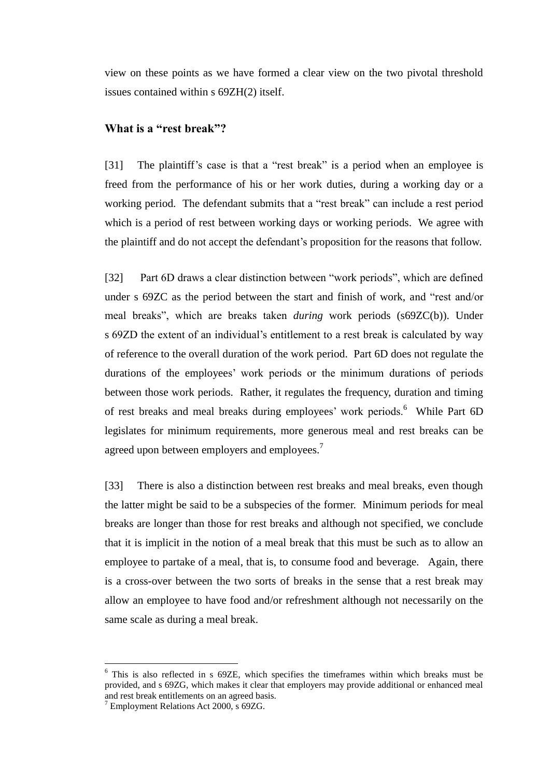view on these points as we have formed a clear view on the two pivotal threshold issues contained within s 69ZH(2) itself.

# **What is a "rest break"?**

[31] The plaintiff's case is that a "rest break" is a period when an employee is freed from the performance of his or her work duties, during a working day or a working period. The defendant submits that a "rest break" can include a rest period which is a period of rest between working days or working periods. We agree with the plaintiff and do not accept the defendant's proposition for the reasons that follow.

[32] Part 6D draws a clear distinction between "work periods", which are defined under s 69ZC as the period between the start and finish of work, and "rest and/or meal breaks", which are breaks taken *during* work periods (s69ZC(b)). Under s 69ZD the extent of an individual's entitlement to a rest break is calculated by way of reference to the overall duration of the work period. Part 6D does not regulate the durations of the employees' work periods or the minimum durations of periods between those work periods. Rather, it regulates the frequency, duration and timing of rest breaks and meal breaks during employees' work periods.<sup>6</sup> While Part 6D legislates for minimum requirements, more generous meal and rest breaks can be agreed upon between employers and employees.<sup>7</sup>

[33] There is also a distinction between rest breaks and meal breaks, even though the latter might be said to be a subspecies of the former. Minimum periods for meal breaks are longer than those for rest breaks and although not specified, we conclude that it is implicit in the notion of a meal break that this must be such as to allow an employee to partake of a meal, that is, to consume food and beverage. Again, there is a cross-over between the two sorts of breaks in the sense that a rest break may allow an employee to have food and/or refreshment although not necessarily on the same scale as during a meal break.

<sup>&</sup>lt;sup>6</sup> This is also reflected in s 69ZE, which specifies the timeframes within which breaks must be provided, and s 69ZG, which makes it clear that employers may provide additional or enhanced meal and rest break entitlements on an agreed basis.

 $7$  Employment Relations Act 2000, s 69ZG.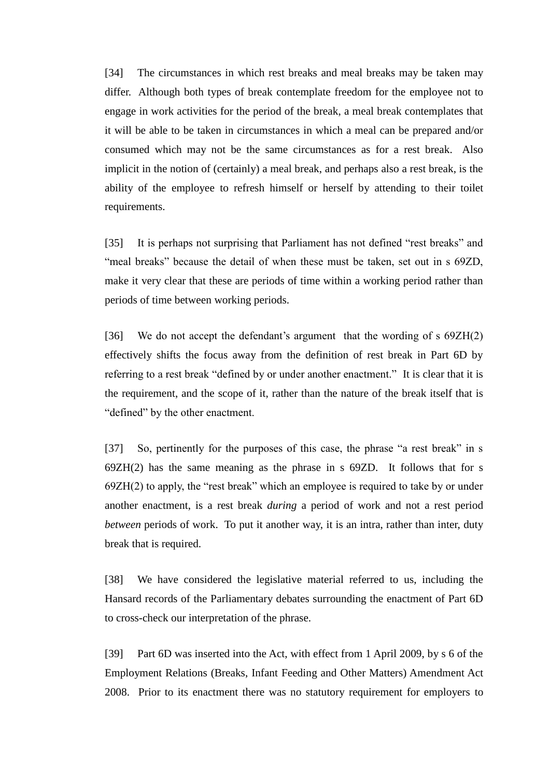[34] The circumstances in which rest breaks and meal breaks may be taken may differ. Although both types of break contemplate freedom for the employee not to engage in work activities for the period of the break, a meal break contemplates that it will be able to be taken in circumstances in which a meal can be prepared and/or consumed which may not be the same circumstances as for a rest break. Also implicit in the notion of (certainly) a meal break, and perhaps also a rest break, is the ability of the employee to refresh himself or herself by attending to their toilet requirements.

[35] It is perhaps not surprising that Parliament has not defined "rest breaks" and "meal breaks" because the detail of when these must be taken, set out in s 69ZD, make it very clear that these are periods of time within a working period rather than periods of time between working periods.

[36] We do not accept the defendant's argument that the wording of s 69ZH(2) effectively shifts the focus away from the definition of rest break in Part 6D by referring to a rest break "defined by or under another enactment." It is clear that it is the requirement, and the scope of it, rather than the nature of the break itself that is "defined" by the other enactment.

[37] So, pertinently for the purposes of this case, the phrase "a rest break" in s 69ZH(2) has the same meaning as the phrase in s 69ZD. It follows that for s 69ZH(2) to apply, the "rest break" which an employee is required to take by or under another enactment, is a rest break *during* a period of work and not a rest period *between* periods of work. To put it another way, it is an intra, rather than inter, duty break that is required.

[38] We have considered the legislative material referred to us, including the Hansard records of the Parliamentary debates surrounding the enactment of Part 6D to cross-check our interpretation of the phrase.

[39] Part 6D was inserted into the Act, with effect from 1 April 2009, by s 6 of the Employment Relations (Breaks, Infant Feeding and Other Matters) Amendment Act 2008. Prior to its enactment there was no statutory requirement for employers to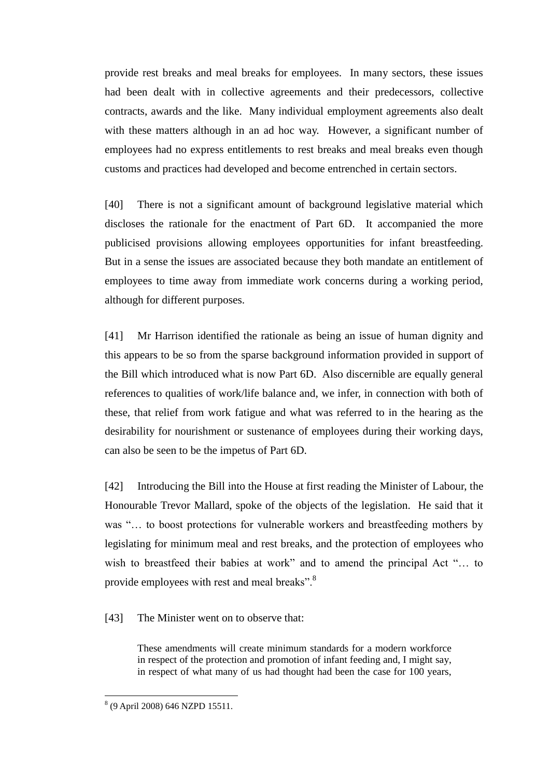provide rest breaks and meal breaks for employees. In many sectors, these issues had been dealt with in collective agreements and their predecessors, collective contracts, awards and the like. Many individual employment agreements also dealt with these matters although in an ad hoc way. However, a significant number of employees had no express entitlements to rest breaks and meal breaks even though customs and practices had developed and become entrenched in certain sectors.

[40] There is not a significant amount of background legislative material which discloses the rationale for the enactment of Part 6D. It accompanied the more publicised provisions allowing employees opportunities for infant breastfeeding. But in a sense the issues are associated because they both mandate an entitlement of employees to time away from immediate work concerns during a working period, although for different purposes.

[41] Mr Harrison identified the rationale as being an issue of human dignity and this appears to be so from the sparse background information provided in support of the Bill which introduced what is now Part 6D. Also discernible are equally general references to qualities of work/life balance and, we infer, in connection with both of these, that relief from work fatigue and what was referred to in the hearing as the desirability for nourishment or sustenance of employees during their working days, can also be seen to be the impetus of Part 6D.

[42] Introducing the Bill into the House at first reading the Minister of Labour, the Honourable Trevor Mallard, spoke of the objects of the legislation. He said that it was "... to boost protections for vulnerable workers and breastfeeding mothers by legislating for minimum meal and rest breaks, and the protection of employees who wish to breastfeed their babies at work" and to amend the principal Act "… to provide employees with rest and meal breaks".<sup>8</sup>

[43] The Minister went on to observe that:

These amendments will create minimum standards for a modern workforce in respect of the protection and promotion of infant feeding and, I might say, in respect of what many of us had thought had been the case for 100 years,

 8 (9 April 2008) 646 NZPD 15511.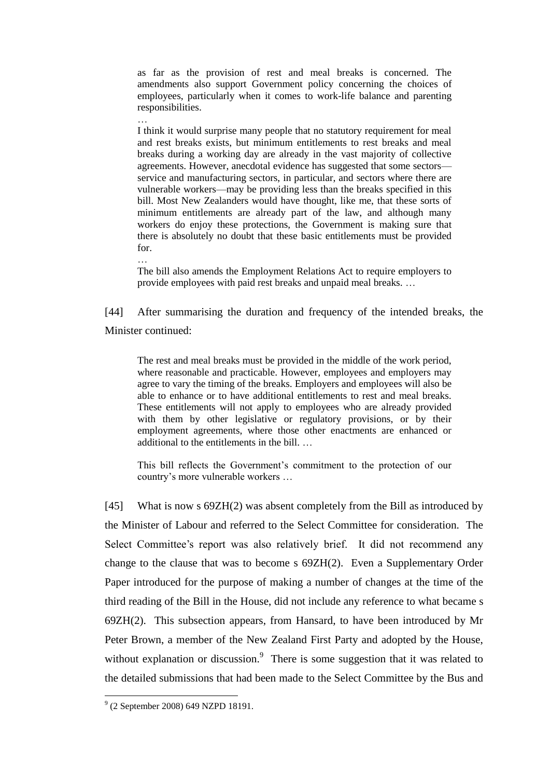as far as the provision of rest and meal breaks is concerned. The amendments also support Government policy concerning the choices of employees, particularly when it comes to work-life balance and parenting responsibilities.

I think it would surprise many people that no statutory requirement for meal and rest breaks exists, but minimum entitlements to rest breaks and meal breaks during a working day are already in the vast majority of collective agreements. However, anecdotal evidence has suggested that some sectors service and manufacturing sectors, in particular, and sectors where there are vulnerable workers—may be providing less than the breaks specified in this bill. Most New Zealanders would have thought, like me, that these sorts of minimum entitlements are already part of the law, and although many workers do enjoy these protections, the Government is making sure that there is absolutely no doubt that these basic entitlements must be provided for.

The bill also amends the Employment Relations Act to require employers to provide employees with paid rest breaks and unpaid meal breaks. …

[44] After summarising the duration and frequency of the intended breaks, the Minister continued:

The rest and meal breaks must be provided in the middle of the work period, where reasonable and practicable. However, employees and employers may agree to vary the timing of the breaks. Employers and employees will also be able to enhance or to have additional entitlements to rest and meal breaks. These entitlements will not apply to employees who are already provided with them by other legislative or regulatory provisions, or by their employment agreements, where those other enactments are enhanced or additional to the entitlements in the bill. …

This bill reflects the Government's commitment to the protection of our country's more vulnerable workers …

[45] What is now s 69ZH(2) was absent completely from the Bill as introduced by the Minister of Labour and referred to the Select Committee for consideration. The Select Committee's report was also relatively brief. It did not recommend any change to the clause that was to become s 69ZH(2). Even a Supplementary Order Paper introduced for the purpose of making a number of changes at the time of the third reading of the Bill in the House, did not include any reference to what became s 69ZH(2). This subsection appears, from Hansard, to have been introduced by Mr Peter Brown, a member of the New Zealand First Party and adopted by the House, without explanation or discussion. $\degree$  There is some suggestion that it was related to the detailed submissions that had been made to the Select Committee by the Bus and

…

 9 (2 September 2008) 649 NZPD 18191.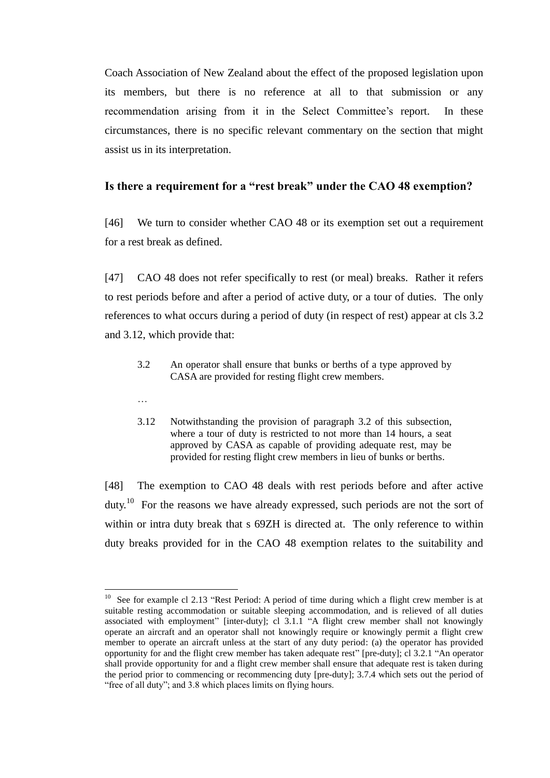Coach Association of New Zealand about the effect of the proposed legislation upon its members, but there is no reference at all to that submission or any recommendation arising from it in the Select Committee's report. In these circumstances, there is no specific relevant commentary on the section that might assist us in its interpretation.

# **Is there a requirement for a "rest break" under the CAO 48 exemption?**

[46] We turn to consider whether CAO 48 or its exemption set out a requirement for a rest break as defined.

[47] CAO 48 does not refer specifically to rest (or meal) breaks. Rather it refers to rest periods before and after a period of active duty, or a tour of duties. The only references to what occurs during a period of duty (in respect of rest) appear at cls 3.2 and 3.12, which provide that:

3.2 An operator shall ensure that bunks or berths of a type approved by CASA are provided for resting flight crew members.

…

 $\overline{a}$ 

3.12 Notwithstanding the provision of paragraph 3.2 of this subsection, where a tour of duty is restricted to not more than 14 hours, a seat approved by CASA as capable of providing adequate rest, may be provided for resting flight crew members in lieu of bunks or berths.

[48] The exemption to CAO 48 deals with rest periods before and after active duty.<sup>10</sup> For the reasons we have already expressed, such periods are not the sort of within or intra duty break that s 69ZH is directed at. The only reference to within duty breaks provided for in the CAO 48 exemption relates to the suitability and

<sup>10</sup> See for example cl 2.13 "Rest Period: A period of time during which a flight crew member is at suitable resting accommodation or suitable sleeping accommodation, and is relieved of all duties associated with employment" [inter-duty]; cl 3.1.1 "A flight crew member shall not knowingly operate an aircraft and an operator shall not knowingly require or knowingly permit a flight crew member to operate an aircraft unless at the start of any duty period: (a) the operator has provided opportunity for and the flight crew member has taken adequate rest" [pre-duty]; cl 3.2.1 "An operator shall provide opportunity for and a flight crew member shall ensure that adequate rest is taken during the period prior to commencing or recommencing duty [pre-duty]; 3.7.4 which sets out the period of "free of all duty"; and 3.8 which places limits on flying hours.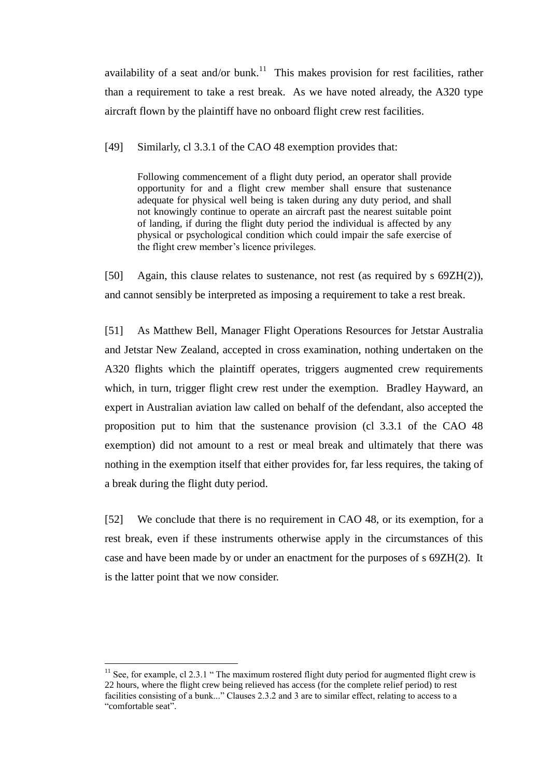availability of a seat and/or bunk.<sup>11</sup> This makes provision for rest facilities, rather than a requirement to take a rest break. As we have noted already, the A320 type aircraft flown by the plaintiff have no onboard flight crew rest facilities.

[49] Similarly, cl 3.3.1 of the CAO 48 exemption provides that:

Following commencement of a flight duty period, an operator shall provide opportunity for and a flight crew member shall ensure that sustenance adequate for physical well being is taken during any duty period, and shall not knowingly continue to operate an aircraft past the nearest suitable point of landing, if during the flight duty period the individual is affected by any physical or psychological condition which could impair the safe exercise of the flight crew member's licence privileges.

[50] Again, this clause relates to sustenance, not rest (as required by s 69ZH(2)), and cannot sensibly be interpreted as imposing a requirement to take a rest break.

[51] As Matthew Bell, Manager Flight Operations Resources for Jetstar Australia and Jetstar New Zealand, accepted in cross examination, nothing undertaken on the A320 flights which the plaintiff operates, triggers augmented crew requirements which, in turn, trigger flight crew rest under the exemption. Bradley Hayward, an expert in Australian aviation law called on behalf of the defendant, also accepted the proposition put to him that the sustenance provision (cl 3.3.1 of the CAO 48 exemption) did not amount to a rest or meal break and ultimately that there was nothing in the exemption itself that either provides for, far less requires, the taking of a break during the flight duty period.

[52] We conclude that there is no requirement in CAO 48, or its exemption, for a rest break, even if these instruments otherwise apply in the circumstances of this case and have been made by or under an enactment for the purposes of s 69ZH(2). It is the latter point that we now consider.

 $11$  See, for example, cl 2.3.1 " The maximum rostered flight duty period for augmented flight crew is 22 hours, where the flight crew being relieved has access (for the complete relief period) to rest facilities consisting of a bunk..." Clauses 2.3.2 and 3 are to similar effect, relating to access to a "comfortable seat".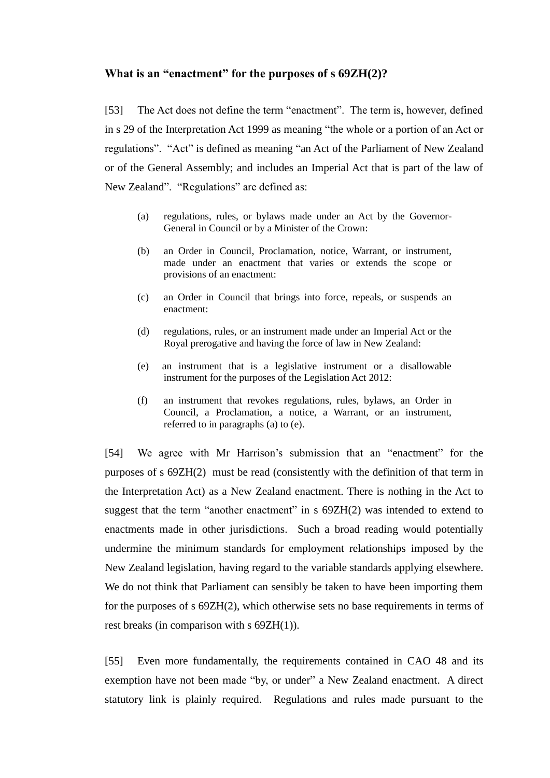## **What is an "enactment" for the purposes of s 69ZH(2)?**

[53] The Act does not define the term "enactment". The term is, however, defined in s 29 of the Interpretation Act 1999 as meaning "the whole or a portion of an Act or regulations". "Act" is defined as meaning "an Act of the Parliament of New Zealand or of the General Assembly; and includes an Imperial Act that is part of the law of New Zealand". "Regulations" are defined as:

- (a) regulations, rules, or bylaws made under an Act by the Governor-General in Council or by a Minister of the Crown:
- (b) an Order in Council, Proclamation, notice, Warrant, or instrument, made under an enactment that varies or extends the scope or provisions of an enactment:
- (c) an Order in Council that brings into force, repeals, or suspends an enactment:
- (d) regulations, rules, or an instrument made under an Imperial Act or the Royal prerogative and having the force of law in New Zealand:
- (e) an instrument that is a legislative instrument or a disallowable instrument for the purposes of the Legislation Act 2012:
- (f) an instrument that revokes regulations, rules, bylaws, an Order in Council, a Proclamation, a notice, a Warrant, or an instrument, referred to in paragraphs (a) to (e).

[54] We agree with Mr Harrison's submission that an "enactment" for the purposes of s 69ZH(2) must be read (consistently with the definition of that term in the Interpretation Act) as a New Zealand enactment. There is nothing in the Act to suggest that the term "another enactment" in s  $69ZH(2)$  was intended to extend to enactments made in other jurisdictions. Such a broad reading would potentially undermine the minimum standards for employment relationships imposed by the New Zealand legislation, having regard to the variable standards applying elsewhere. We do not think that Parliament can sensibly be taken to have been importing them for the purposes of s 69ZH(2), which otherwise sets no base requirements in terms of rest breaks (in comparison with s 69ZH(1)).

[55] Even more fundamentally, the requirements contained in CAO 48 and its exemption have not been made "by, or under" a New Zealand enactment. A direct statutory link is plainly required. Regulations and rules made pursuant to the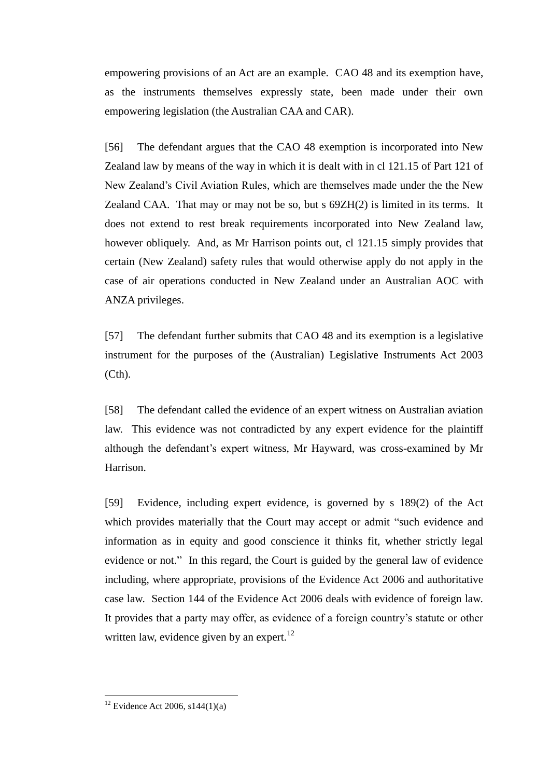empowering provisions of an Act are an example. CAO 48 and its exemption have, as the instruments themselves expressly state, been made under their own empowering legislation (the Australian CAA and CAR).

[56] The defendant argues that the CAO 48 exemption is incorporated into New Zealand law by means of the way in which it is dealt with in cl 121.15 of Part 121 of New Zealand's Civil Aviation Rules, which are themselves made under the the New Zealand CAA. That may or may not be so, but s 69ZH(2) is limited in its terms. It does not extend to rest break requirements incorporated into New Zealand law, however obliquely. And, as Mr Harrison points out, cl 121.15 simply provides that certain (New Zealand) safety rules that would otherwise apply do not apply in the case of air operations conducted in New Zealand under an Australian AOC with ANZA privileges.

[57] The defendant further submits that CAO 48 and its exemption is a legislative instrument for the purposes of the (Australian) Legislative Instruments Act 2003 (Cth).

[58] The defendant called the evidence of an expert witness on Australian aviation law. This evidence was not contradicted by any expert evidence for the plaintiff although the defendant's expert witness, Mr Hayward, was cross-examined by Mr Harrison.

[59] Evidence, including expert evidence, is governed by s 189(2) of the Act which provides materially that the Court may accept or admit "such evidence and information as in equity and good conscience it thinks fit, whether strictly legal evidence or not." In this regard, the Court is guided by the general law of evidence including, where appropriate, provisions of the Evidence Act 2006 and authoritative case law. Section 144 of the Evidence Act 2006 deals with evidence of foreign law. It provides that a party may offer, as evidence of a foreign country's statute or other written law, evidence given by an expert. $^{12}$ 

 $12$  Evidence Act 2006, s144(1)(a)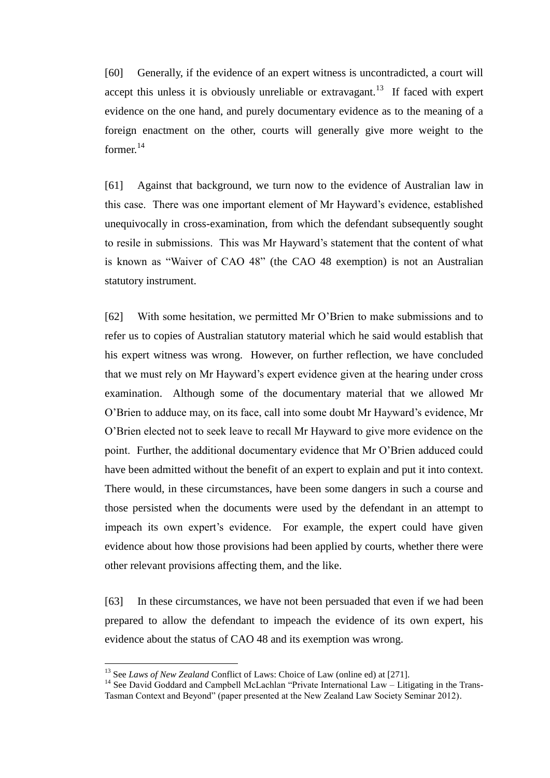[60] Generally, if the evidence of an expert witness is uncontradicted, a court will accept this unless it is obviously unreliable or extravagant.<sup>13</sup> If faced with expert evidence on the one hand, and purely documentary evidence as to the meaning of a foreign enactment on the other, courts will generally give more weight to the former.<sup>14</sup>

[61] Against that background, we turn now to the evidence of Australian law in this case. There was one important element of Mr Hayward's evidence, established unequivocally in cross-examination, from which the defendant subsequently sought to resile in submissions. This was Mr Hayward's statement that the content of what is known as "Waiver of CAO 48" (the CAO 48 exemption) is not an Australian statutory instrument.

[62] With some hesitation, we permitted Mr O'Brien to make submissions and to refer us to copies of Australian statutory material which he said would establish that his expert witness was wrong. However, on further reflection, we have concluded that we must rely on Mr Hayward's expert evidence given at the hearing under cross examination. Although some of the documentary material that we allowed Mr O'Brien to adduce may, on its face, call into some doubt Mr Hayward's evidence, Mr O'Brien elected not to seek leave to recall Mr Hayward to give more evidence on the point. Further, the additional documentary evidence that Mr O'Brien adduced could have been admitted without the benefit of an expert to explain and put it into context. There would, in these circumstances, have been some dangers in such a course and those persisted when the documents were used by the defendant in an attempt to impeach its own expert's evidence. For example, the expert could have given evidence about how those provisions had been applied by courts, whether there were other relevant provisions affecting them, and the like.

[63] In these circumstances, we have not been persuaded that even if we had been prepared to allow the defendant to impeach the evidence of its own expert, his evidence about the status of CAO 48 and its exemption was wrong.

<sup>13</sup> See *Laws of New Zealand* Conflict of Laws: Choice of Law (online ed) at [271].

<sup>&</sup>lt;sup>14</sup> See David Goddard and Campbell McLachlan "Private International Law – Litigating in the Trans-Tasman Context and Beyond" (paper presented at the New Zealand Law Society Seminar 2012).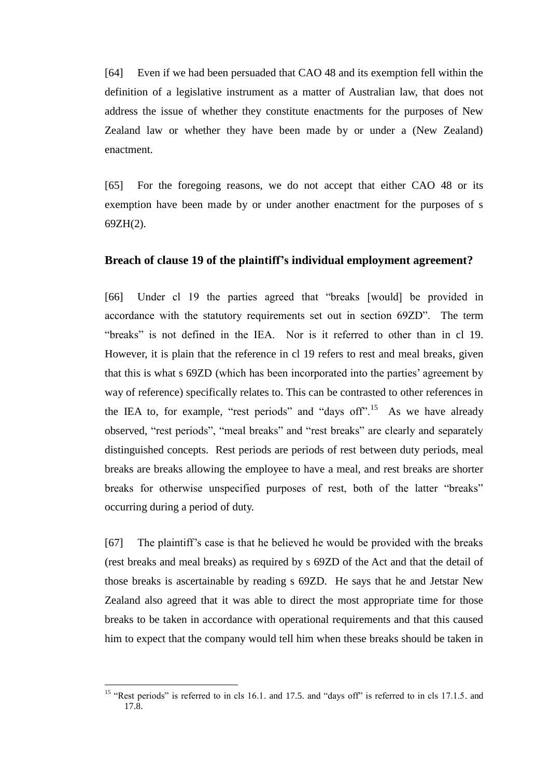[64] Even if we had been persuaded that CAO 48 and its exemption fell within the definition of a legislative instrument as a matter of Australian law, that does not address the issue of whether they constitute enactments for the purposes of New Zealand law or whether they have been made by or under a (New Zealand) enactment.

[65] For the foregoing reasons, we do not accept that either CAO 48 or its exemption have been made by or under another enactment for the purposes of s 69ZH(2).

## **Breach of clause 19 of the plaintiff's individual employment agreement?**

[66] Under cl 19 the parties agreed that "breaks [would] be provided in accordance with the statutory requirements set out in section 69ZD". The term "breaks" is not defined in the IEA. Nor is it referred to other than in cl 19. However, it is plain that the reference in cl 19 refers to rest and meal breaks, given that this is what s 69ZD (which has been incorporated into the parties' agreement by way of reference) specifically relates to. This can be contrasted to other references in the IEA to, for example, "rest periods" and "days of  $15$ ". As we have already observed, "rest periods", "meal breaks" and "rest breaks" are clearly and separately distinguished concepts. Rest periods are periods of rest between duty periods, meal breaks are breaks allowing the employee to have a meal, and rest breaks are shorter breaks for otherwise unspecified purposes of rest, both of the latter "breaks" occurring during a period of duty.

[67] The plaintiff's case is that he believed he would be provided with the breaks (rest breaks and meal breaks) as required by s 69ZD of the Act and that the detail of those breaks is ascertainable by reading s 69ZD. He says that he and Jetstar New Zealand also agreed that it was able to direct the most appropriate time for those breaks to be taken in accordance with operational requirements and that this caused him to expect that the company would tell him when these breaks should be taken in

<sup>&</sup>lt;sup>15</sup> "Rest periods" is referred to in cls 16.1. and 17.5. and "days off" is referred to in cls 17.1.5. and 17.8.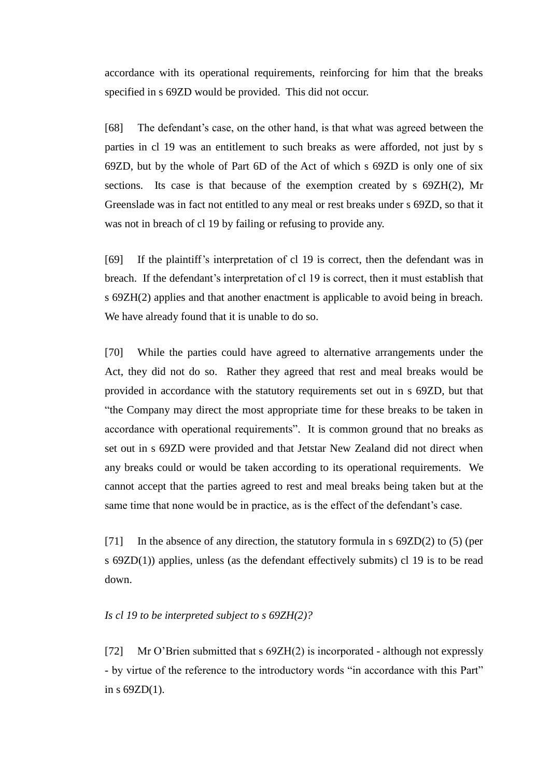accordance with its operational requirements, reinforcing for him that the breaks specified in s 69ZD would be provided. This did not occur.

[68] The defendant's case, on the other hand, is that what was agreed between the parties in cl 19 was an entitlement to such breaks as were afforded, not just by s 69ZD, but by the whole of Part 6D of the Act of which s 69ZD is only one of six sections. Its case is that because of the exemption created by s 69ZH(2), Mr Greenslade was in fact not entitled to any meal or rest breaks under s 69ZD, so that it was not in breach of cl 19 by failing or refusing to provide any.

[69] If the plaintiff's interpretation of cl 19 is correct, then the defendant was in breach. If the defendant's interpretation of cl 19 is correct, then it must establish that s 69ZH(2) applies and that another enactment is applicable to avoid being in breach. We have already found that it is unable to do so.

[70] While the parties could have agreed to alternative arrangements under the Act, they did not do so. Rather they agreed that rest and meal breaks would be provided in accordance with the statutory requirements set out in s 69ZD, but that "the Company may direct the most appropriate time for these breaks to be taken in accordance with operational requirements". It is common ground that no breaks as set out in s 69ZD were provided and that Jetstar New Zealand did not direct when any breaks could or would be taken according to its operational requirements. We cannot accept that the parties agreed to rest and meal breaks being taken but at the same time that none would be in practice, as is the effect of the defendant's case.

[71] In the absence of any direction, the statutory formula in s 69ZD(2) to (5) (per s 69ZD(1)) applies, unless (as the defendant effectively submits) cl 19 is to be read down.

#### *Is cl 19 to be interpreted subject to s 69ZH(2)?*

[72] Mr O'Brien submitted that s 69ZH(2) is incorporated - although not expressly - by virtue of the reference to the introductory words "in accordance with this Part" in s 69ZD(1).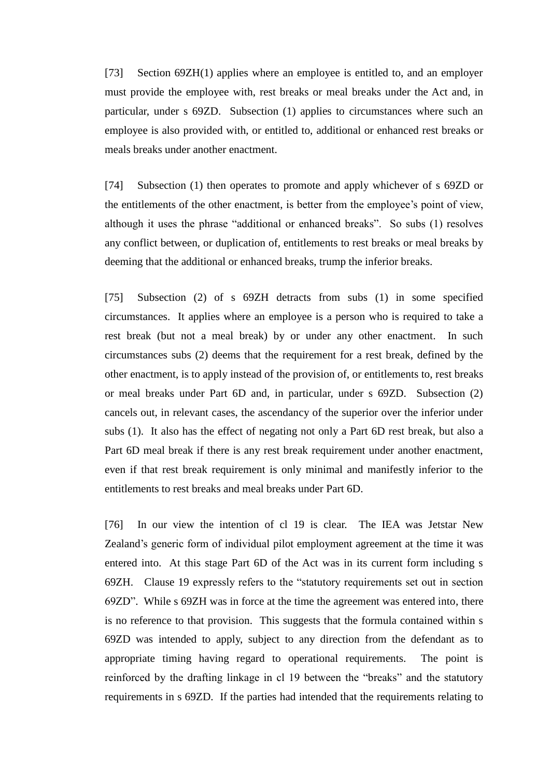[73] Section 69ZH(1) applies where an employee is entitled to, and an employer must provide the employee with, rest breaks or meal breaks under the Act and, in particular, under s 69ZD. Subsection (1) applies to circumstances where such an employee is also provided with, or entitled to, additional or enhanced rest breaks or meals breaks under another enactment.

[74] Subsection (1) then operates to promote and apply whichever of s 69ZD or the entitlements of the other enactment, is better from the employee's point of view, although it uses the phrase "additional or enhanced breaks". So subs (1) resolves any conflict between, or duplication of, entitlements to rest breaks or meal breaks by deeming that the additional or enhanced breaks, trump the inferior breaks.

[75] Subsection (2) of s 69ZH detracts from subs (1) in some specified circumstances. It applies where an employee is a person who is required to take a rest break (but not a meal break) by or under any other enactment. In such circumstances subs (2) deems that the requirement for a rest break, defined by the other enactment, is to apply instead of the provision of, or entitlements to, rest breaks or meal breaks under Part 6D and, in particular, under s 69ZD. Subsection (2) cancels out, in relevant cases, the ascendancy of the superior over the inferior under subs (1). It also has the effect of negating not only a Part 6D rest break, but also a Part 6D meal break if there is any rest break requirement under another enactment, even if that rest break requirement is only minimal and manifestly inferior to the entitlements to rest breaks and meal breaks under Part 6D.

[76] In our view the intention of cl 19 is clear. The IEA was Jetstar New Zealand's generic form of individual pilot employment agreement at the time it was entered into. At this stage Part 6D of the Act was in its current form including s 69ZH. Clause 19 expressly refers to the "statutory requirements set out in section 69ZD". While s 69ZH was in force at the time the agreement was entered into, there is no reference to that provision. This suggests that the formula contained within s 69ZD was intended to apply, subject to any direction from the defendant as to appropriate timing having regard to operational requirements. The point is reinforced by the drafting linkage in cl 19 between the "breaks" and the statutory requirements in s 69ZD. If the parties had intended that the requirements relating to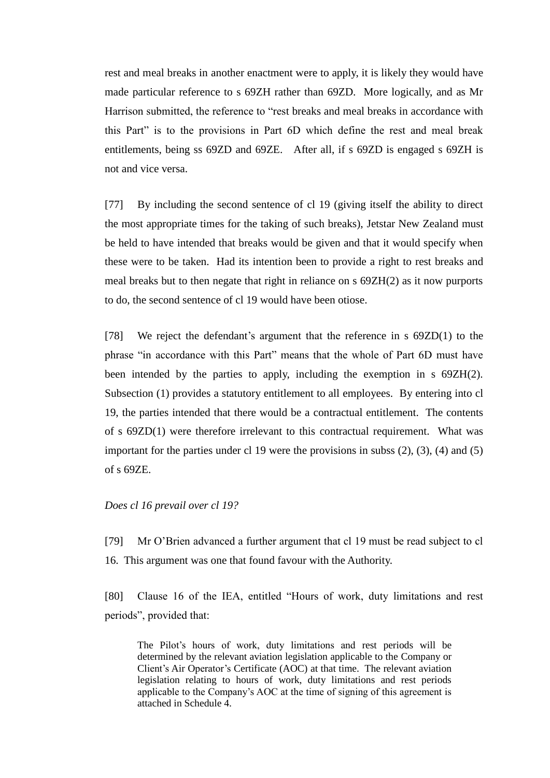rest and meal breaks in another enactment were to apply, it is likely they would have made particular reference to s 69ZH rather than 69ZD. More logically, and as Mr Harrison submitted, the reference to "rest breaks and meal breaks in accordance with this Part" is to the provisions in Part 6D which define the rest and meal break entitlements, being ss 69ZD and 69ZE. After all, if s 69ZD is engaged s 69ZH is not and vice versa.

[77] By including the second sentence of cl 19 (giving itself the ability to direct the most appropriate times for the taking of such breaks), Jetstar New Zealand must be held to have intended that breaks would be given and that it would specify when these were to be taken. Had its intention been to provide a right to rest breaks and meal breaks but to then negate that right in reliance on s 69ZH(2) as it now purports to do, the second sentence of cl 19 would have been otiose.

[78] We reject the defendant's argument that the reference in s 69ZD(1) to the phrase "in accordance with this Part" means that the whole of Part 6D must have been intended by the parties to apply, including the exemption in s 69ZH(2). Subsection (1) provides a statutory entitlement to all employees. By entering into cl 19, the parties intended that there would be a contractual entitlement. The contents of s 69ZD(1) were therefore irrelevant to this contractual requirement. What was important for the parties under cl 19 were the provisions in subss  $(2)$ ,  $(3)$ ,  $(4)$  and  $(5)$ of s 69ZE.

### *Does cl 16 prevail over cl 19?*

[79] Mr O'Brien advanced a further argument that cl 19 must be read subject to cl 16. This argument was one that found favour with the Authority.

[80] Clause 16 of the IEA, entitled "Hours of work, duty limitations and rest periods", provided that:

The Pilot's hours of work, duty limitations and rest periods will be determined by the relevant aviation legislation applicable to the Company or Client's Air Operator's Certificate (AOC) at that time. The relevant aviation legislation relating to hours of work, duty limitations and rest periods applicable to the Company's AOC at the time of signing of this agreement is attached in Schedule 4.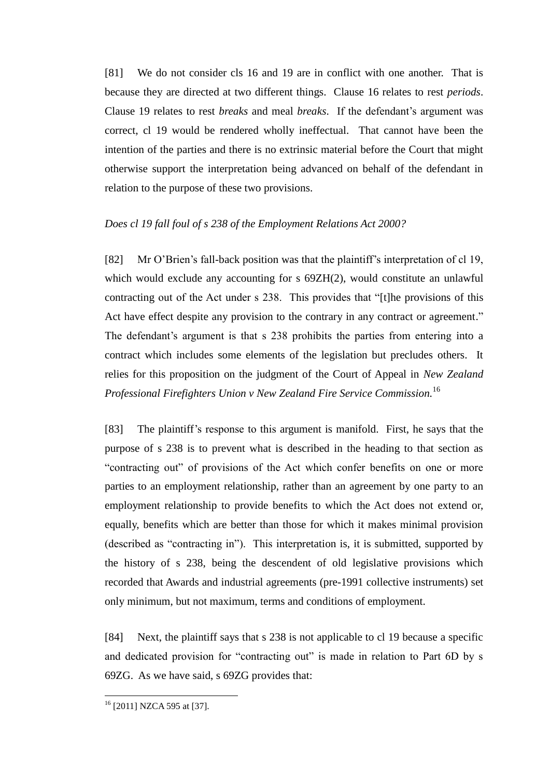[81] We do not consider cls 16 and 19 are in conflict with one another. That is because they are directed at two different things. Clause 16 relates to rest *periods*. Clause 19 relates to rest *breaks* and meal *breaks*. If the defendant's argument was correct, cl 19 would be rendered wholly ineffectual. That cannot have been the intention of the parties and there is no extrinsic material before the Court that might otherwise support the interpretation being advanced on behalf of the defendant in relation to the purpose of these two provisions.

### *Does cl 19 fall foul of s 238 of the Employment Relations Act 2000?*

[82] Mr O'Brien's fall-back position was that the plaintiff's interpretation of cl 19, which would exclude any accounting for s  $69ZH(2)$ , would constitute an unlawful contracting out of the Act under s 238. This provides that "[t]he provisions of this Act have effect despite any provision to the contrary in any contract or agreement." The defendant's argument is that s 238 prohibits the parties from entering into a contract which includes some elements of the legislation but precludes others. It relies for this proposition on the judgment of the Court of Appeal in *New Zealand Professional Firefighters Union v New Zealand Fire Service Commission.*<sup>16</sup>

[83] The plaintiff's response to this argument is manifold. First, he says that the purpose of s 238 is to prevent what is described in the heading to that section as "contracting out" of provisions of the Act which confer benefits on one or more parties to an employment relationship, rather than an agreement by one party to an employment relationship to provide benefits to which the Act does not extend or, equally, benefits which are better than those for which it makes minimal provision (described as "contracting in"). This interpretation is, it is submitted, supported by the history of s 238, being the descendent of old legislative provisions which recorded that Awards and industrial agreements (pre-1991 collective instruments) set only minimum, but not maximum, terms and conditions of employment.

[84] Next, the plaintiff says that s 238 is not applicable to cl 19 because a specific and dedicated provision for "contracting out" is made in relation to Part 6D by s 69ZG. As we have said, s 69ZG provides that:

<sup>&</sup>lt;sup>16</sup> [2011] NZCA 595 at [37].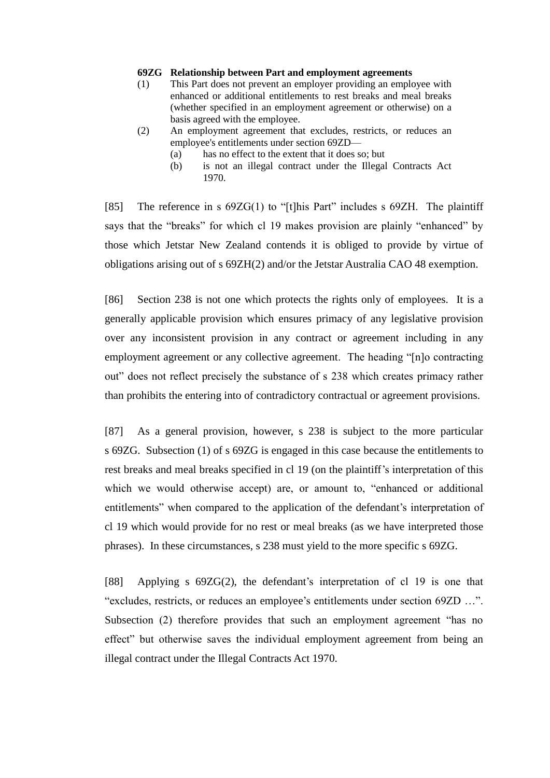#### **69ZG Relationship between Part and employment agreements**

- (1) This Part does not prevent an employer providing an employee with enhanced or additional entitlements to rest breaks and meal breaks (whether specified in an employment agreement or otherwise) on a basis agreed with the employee.
- (2) An employment agreement that excludes, restricts, or reduces an employee's entitlements under section 69ZD—
	- (a) has no effect to the extent that it does so; but
	- (b) is not an illegal contract under the Illegal Contracts Act 1970.

[85] The reference in s 69ZG(1) to "[t]his Part" includes s 69ZH. The plaintiff says that the "breaks" for which cl 19 makes provision are plainly "enhanced" by those which Jetstar New Zealand contends it is obliged to provide by virtue of obligations arising out of s 69ZH(2) and/or the Jetstar Australia CAO 48 exemption.

[86] Section 238 is not one which protects the rights only of employees. It is a generally applicable provision which ensures primacy of any legislative provision over any inconsistent provision in any contract or agreement including in any employment agreement or any collective agreement. The heading "[n]o contracting out" does not reflect precisely the substance of s 238 which creates primacy rather than prohibits the entering into of contradictory contractual or agreement provisions.

[87] As a general provision, however, s 238 is subject to the more particular s 69ZG. Subsection (1) of s 69ZG is engaged in this case because the entitlements to rest breaks and meal breaks specified in cl 19 (on the plaintiff's interpretation of this which we would otherwise accept) are, or amount to, "enhanced or additional entitlements" when compared to the application of the defendant's interpretation of cl 19 which would provide for no rest or meal breaks (as we have interpreted those phrases). In these circumstances, s 238 must yield to the more specific s 69ZG.

[88] Applying s 69ZG(2), the defendant's interpretation of cl 19 is one that "excludes, restricts, or reduces an employee's entitlements under section 69ZD …". Subsection (2) therefore provides that such an employment agreement "has no effect" but otherwise saves the individual employment agreement from being an illegal contract under the Illegal Contracts Act 1970.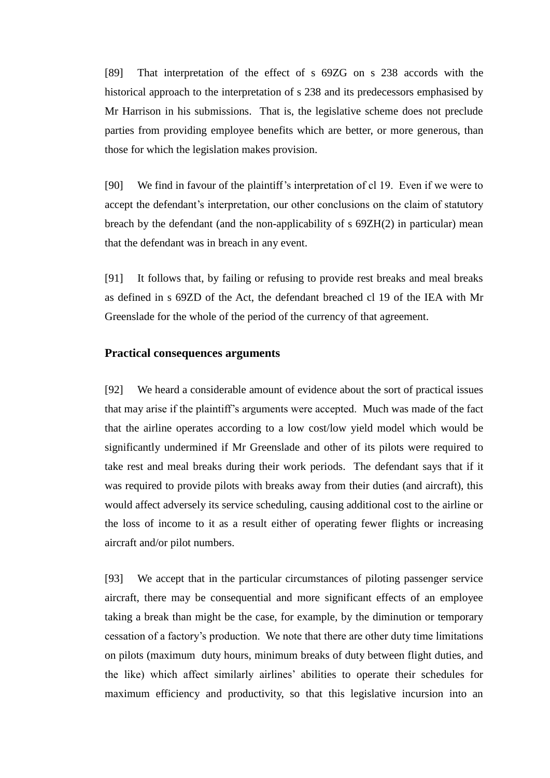[89] That interpretation of the effect of s 69ZG on s 238 accords with the historical approach to the interpretation of s 238 and its predecessors emphasised by Mr Harrison in his submissions. That is, the legislative scheme does not preclude parties from providing employee benefits which are better, or more generous, than those for which the legislation makes provision.

[90] We find in favour of the plaintiff's interpretation of cl 19. Even if we were to accept the defendant's interpretation, our other conclusions on the claim of statutory breach by the defendant (and the non-applicability of s 69ZH(2) in particular) mean that the defendant was in breach in any event.

[91] It follows that, by failing or refusing to provide rest breaks and meal breaks as defined in s 69ZD of the Act, the defendant breached cl 19 of the IEA with Mr Greenslade for the whole of the period of the currency of that agreement.

# **Practical consequences arguments**

[92] We heard a considerable amount of evidence about the sort of practical issues that may arise if the plaintiff's arguments were accepted. Much was made of the fact that the airline operates according to a low cost/low yield model which would be significantly undermined if Mr Greenslade and other of its pilots were required to take rest and meal breaks during their work periods. The defendant says that if it was required to provide pilots with breaks away from their duties (and aircraft), this would affect adversely its service scheduling, causing additional cost to the airline or the loss of income to it as a result either of operating fewer flights or increasing aircraft and/or pilot numbers.

[93] We accept that in the particular circumstances of piloting passenger service aircraft, there may be consequential and more significant effects of an employee taking a break than might be the case, for example, by the diminution or temporary cessation of a factory's production. We note that there are other duty time limitations on pilots (maximum duty hours, minimum breaks of duty between flight duties, and the like) which affect similarly airlines' abilities to operate their schedules for maximum efficiency and productivity, so that this legislative incursion into an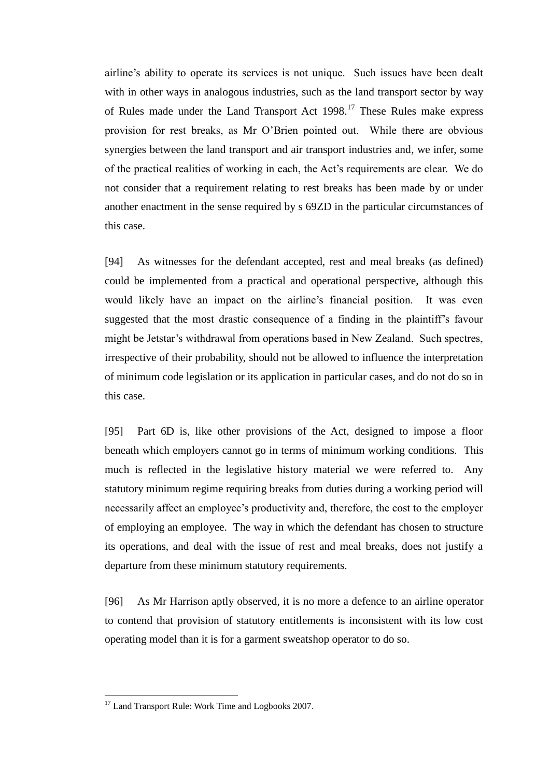airline's ability to operate its services is not unique. Such issues have been dealt with in other ways in analogous industries, such as the land transport sector by way of Rules made under the Land Transport Act 1998.<sup>17</sup> These Rules make express provision for rest breaks, as Mr O'Brien pointed out. While there are obvious synergies between the land transport and air transport industries and, we infer, some of the practical realities of working in each, the Act's requirements are clear. We do not consider that a requirement relating to rest breaks has been made by or under another enactment in the sense required by s 69ZD in the particular circumstances of this case.

[94] As witnesses for the defendant accepted, rest and meal breaks (as defined) could be implemented from a practical and operational perspective, although this would likely have an impact on the airline's financial position. It was even suggested that the most drastic consequence of a finding in the plaintiff's favour might be Jetstar's withdrawal from operations based in New Zealand. Such spectres, irrespective of their probability, should not be allowed to influence the interpretation of minimum code legislation or its application in particular cases, and do not do so in this case.

[95] Part 6D is, like other provisions of the Act, designed to impose a floor beneath which employers cannot go in terms of minimum working conditions. This much is reflected in the legislative history material we were referred to. Any statutory minimum regime requiring breaks from duties during a working period will necessarily affect an employee's productivity and, therefore, the cost to the employer of employing an employee. The way in which the defendant has chosen to structure its operations, and deal with the issue of rest and meal breaks, does not justify a departure from these minimum statutory requirements.

[96] As Mr Harrison aptly observed, it is no more a defence to an airline operator to contend that provision of statutory entitlements is inconsistent with its low cost operating model than it is for a garment sweatshop operator to do so.

<sup>&</sup>lt;sup>17</sup> Land Transport Rule: Work Time and Logbooks 2007.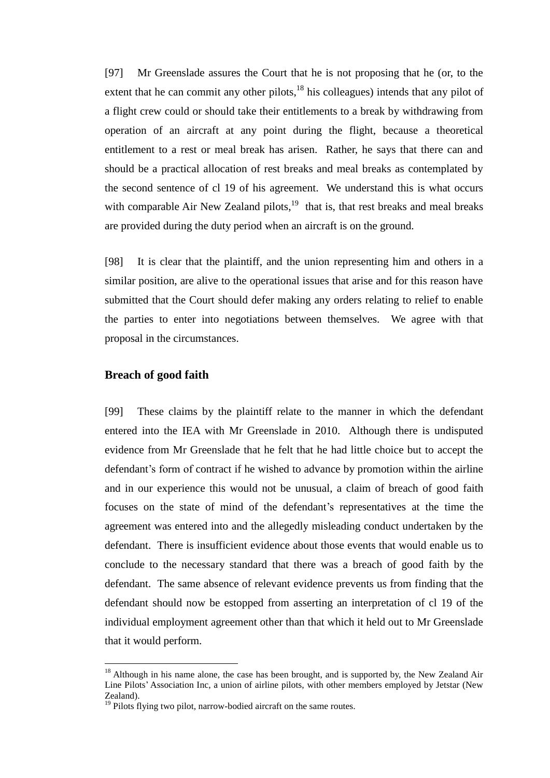[97] Mr Greenslade assures the Court that he is not proposing that he (or, to the extent that he can commit any other pilots, $18$  his colleagues) intends that any pilot of a flight crew could or should take their entitlements to a break by withdrawing from operation of an aircraft at any point during the flight, because a theoretical entitlement to a rest or meal break has arisen. Rather, he says that there can and should be a practical allocation of rest breaks and meal breaks as contemplated by the second sentence of cl 19 of his agreement. We understand this is what occurs with comparable Air New Zealand pilots, $19$  that is, that rest breaks and meal breaks are provided during the duty period when an aircraft is on the ground.

[98] It is clear that the plaintiff, and the union representing him and others in a similar position, are alive to the operational issues that arise and for this reason have submitted that the Court should defer making any orders relating to relief to enable the parties to enter into negotiations between themselves. We agree with that proposal in the circumstances.

### **Breach of good faith**

 $\overline{a}$ 

[99] These claims by the plaintiff relate to the manner in which the defendant entered into the IEA with Mr Greenslade in 2010. Although there is undisputed evidence from Mr Greenslade that he felt that he had little choice but to accept the defendant's form of contract if he wished to advance by promotion within the airline and in our experience this would not be unusual, a claim of breach of good faith focuses on the state of mind of the defendant's representatives at the time the agreement was entered into and the allegedly misleading conduct undertaken by the defendant. There is insufficient evidence about those events that would enable us to conclude to the necessary standard that there was a breach of good faith by the defendant. The same absence of relevant evidence prevents us from finding that the defendant should now be estopped from asserting an interpretation of cl 19 of the individual employment agreement other than that which it held out to Mr Greenslade that it would perform.

 $18$  Although in his name alone, the case has been brought, and is supported by, the New Zealand Air Line Pilots' Association Inc, a union of airline pilots, with other members employed by Jetstar (New Zealand).

<sup>&</sup>lt;sup>19</sup> Pilots flying two pilot, narrow-bodied aircraft on the same routes.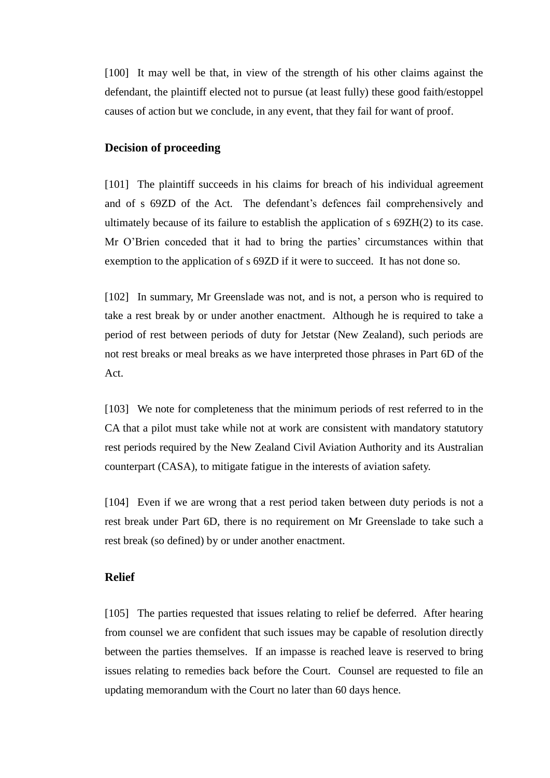[100] It may well be that, in view of the strength of his other claims against the defendant, the plaintiff elected not to pursue (at least fully) these good faith/estoppel causes of action but we conclude, in any event, that they fail for want of proof.

## **Decision of proceeding**

[101] The plaintiff succeeds in his claims for breach of his individual agreement and of s 69ZD of the Act. The defendant's defences fail comprehensively and ultimately because of its failure to establish the application of  $s$  69ZH $(2)$  to its case. Mr O'Brien conceded that it had to bring the parties' circumstances within that exemption to the application of s 69ZD if it were to succeed. It has not done so.

[102] In summary, Mr Greenslade was not, and is not, a person who is required to take a rest break by or under another enactment. Although he is required to take a period of rest between periods of duty for Jetstar (New Zealand), such periods are not rest breaks or meal breaks as we have interpreted those phrases in Part 6D of the Act.

[103] We note for completeness that the minimum periods of rest referred to in the CA that a pilot must take while not at work are consistent with mandatory statutory rest periods required by the New Zealand Civil Aviation Authority and its Australian counterpart (CASA), to mitigate fatigue in the interests of aviation safety.

[104] Even if we are wrong that a rest period taken between duty periods is not a rest break under Part 6D, there is no requirement on Mr Greenslade to take such a rest break (so defined) by or under another enactment.

## **Relief**

[105] The parties requested that issues relating to relief be deferred. After hearing from counsel we are confident that such issues may be capable of resolution directly between the parties themselves. If an impasse is reached leave is reserved to bring issues relating to remedies back before the Court. Counsel are requested to file an updating memorandum with the Court no later than 60 days hence.